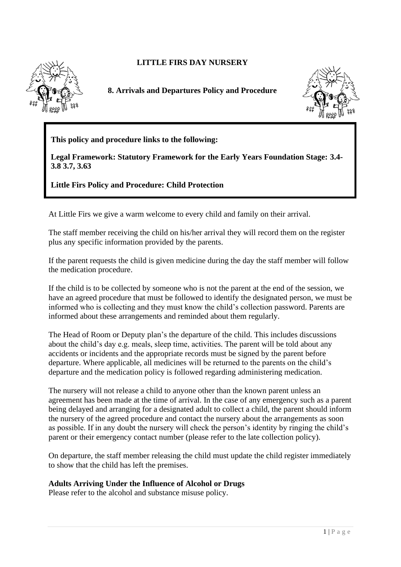## **LITTLE FIRS DAY NURSERY**



**8. Arrivals and Departures Policy and Procedure**



**This policy and procedure links to the following:** 

**Legal Framework: Statutory Framework for the Early Years Foundation Stage: 3.4- 3.8 3.7, 3.63**

**Little Firs Policy and Procedure: Child Protection**

At Little Firs we give a warm welcome to every child and family on their arrival.

The staff member receiving the child on his/her arrival they will record them on the register plus any specific information provided by the parents.

If the parent requests the child is given medicine during the day the staff member will follow the medication procedure.

If the child is to be collected by someone who is not the parent at the end of the session, we have an agreed procedure that must be followed to identify the designated person, we must be informed who is collecting and they must know the child's collection password. Parents are informed about these arrangements and reminded about them regularly.

The Head of Room or Deputy plan's the departure of the child. This includes discussions about the child's day e.g. meals, sleep time, activities. The parent will be told about any accidents or incidents and the appropriate records must be signed by the parent before departure. Where applicable, all medicines will be returned to the parents on the child's departure and the medication policy is followed regarding administering medication.

The nursery will not release a child to anyone other than the known parent unless an agreement has been made at the time of arrival. In the case of any emergency such as a parent being delayed and arranging for a designated adult to collect a child, the parent should inform the nursery of the agreed procedure and contact the nursery about the arrangements as soon as possible. If in any doubt the nursery will check the person's identity by ringing the child's parent or their emergency contact number (please refer to the late collection policy).

On departure, the staff member releasing the child must update the child register immediately to show that the child has left the premises.

## **Adults Arriving Under the Influence of Alcohol or Drugs**

Please refer to the alcohol and substance misuse policy.